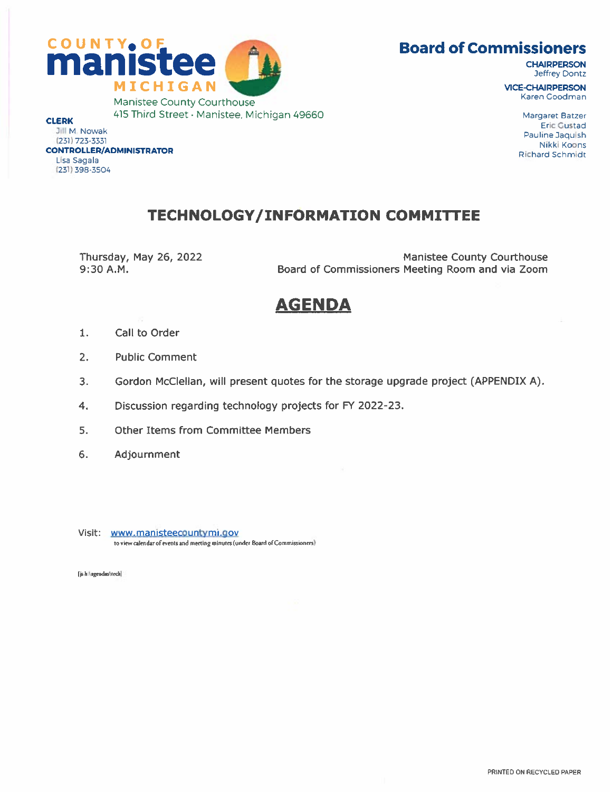



Jeffrey Dontz

415 Third Street • Manistee, Michigan 49660 Margaret Batzer Margaret Batzer Manistee, Michigan 49660 Margaret Batzer

CLERK Eric Gustad Eric Gustad Eric Gustad Eric Gustad Eric Gustad Eric Gustad Eric Gustad Eric Gustad Eric Gustad Eric Gustad Eric Gustad Eric Gustad Eric Gustad Eric Gustad Eric Gustad Eric Gustad Eric Gustad Eric Gustad Jill M, Nowak Pauline Jaquish 231, 231) 723-3331<br>(231) 723-3331 Pauline Jaquish 231<br>Nikki Koons المستقدم المستقدم المستقدم المستقدم المستقدم المستقدم المستقدم المستقدم المستقدم المستقدم المستقدم المستقدم ال<br>CONTROLLER/ADMINISTRATOR Lisa sagala (231) 398-3504

## TECHNOLOGY/INFORMATION COMMITTEE

Thursday, May 26, 2022 Thursday, May 26, 2022 Manistee County Courthouse<br>Board of Commissioners Meeting Room and via Zoom Board of Commissioners Meeting Room and via Zoom

# AGENDA

- 1. Call to Order
- 2. Public Comment
- 3. Gordon McClellan, will present quotes for the storage upgrade project (APPENDIX A).
- 4. Discussion regarding technology projects for FY 2022-23.
- 5. Other Items from Committee Members
- 6. Adjournment

Visit: www.manisteecountymi.qov to view calendar of events and meeting minutes (under Board of Commissioners)

I h:\agendas\teeh]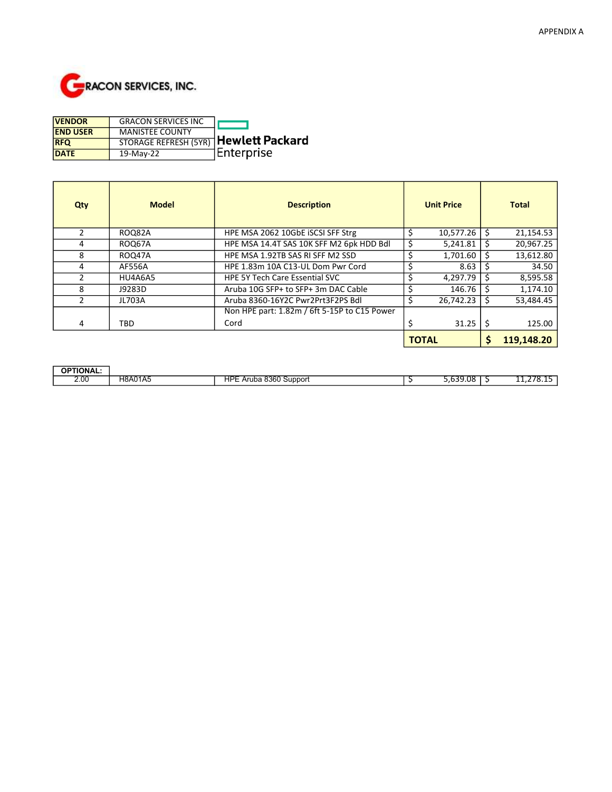

| <b>VENDOR</b>   | <b>GRACON SERVICES INC</b>                   |             |
|-----------------|----------------------------------------------|-------------|
| <b>END USER</b> | <b>MANISTEE COUNTY</b>                       |             |
| <b>RFQ</b>      | <b>STORAGE REFRESH (5YR)</b> Hewlett Packard |             |
| <b>DATE</b>     | 19-May-22                                    | ∣Enterprise |

| Qty           | <b>Model</b>  | <b>Description</b>                           | <b>Unit Price</b> |              | <b>Total</b> |            |
|---------------|---------------|----------------------------------------------|-------------------|--------------|--------------|------------|
|               | <b>ROQ82A</b> | HPE MSA 2062 10GbE ISCSI SFF Strg            |                   | 10,577.26    |              | 21,154.53  |
| 4             | <b>ROQ67A</b> | HPE MSA 14.4T SAS 10K SFF M2 6pk HDD Bdl     |                   | 5,241.81     | Ś            | 20,967.25  |
| 8             | <b>ROQ47A</b> | HPE MSA 1.92TB SAS RI SFF M2 SSD             |                   | 1,701.60     |              | 13,612.80  |
| 4             | AF556A        | HPE 1.83m 10A C13-UL Dom Pwr Cord            |                   | 8.63         |              | 34.50      |
|               | HU4A6A5       | <b>HPE 5Y Tech Care Essential SVC</b>        |                   | 4,297.79     | Ŝ            | 8,595.58   |
| 8             | J9283D        | Aruba 10G SFP+ to SFP+ 3m DAC Cable          |                   | 146.76       |              | 1,174.10   |
| $\mathcal{P}$ | <b>JL703A</b> | Aruba 8360-16Y2C Pwr2Prt3F2PS Bdl            |                   | 26,742.23    | Ś            | 53,484.45  |
|               |               | Non HPE part: 1.82m / 6ft 5-15P to C15 Power |                   |              |              |            |
| 4             | <b>TBD</b>    | Cord                                         |                   | 31.25        |              | 125.00     |
|               |               |                                              |                   | <b>TOTAL</b> |              | 119.148.20 |

| <b>OPTIONAL:</b>      |         |                                                     |          |                   |
|-----------------------|---------|-----------------------------------------------------|----------|-------------------|
| 2.00<br>$\sim$ $\sim$ | H8A01A5 | <b>HPE</b><br>8360<br>Support<br>- Ar<br>uba :<br>- | 5.639.08 | ,<br>--- <i>-</i> |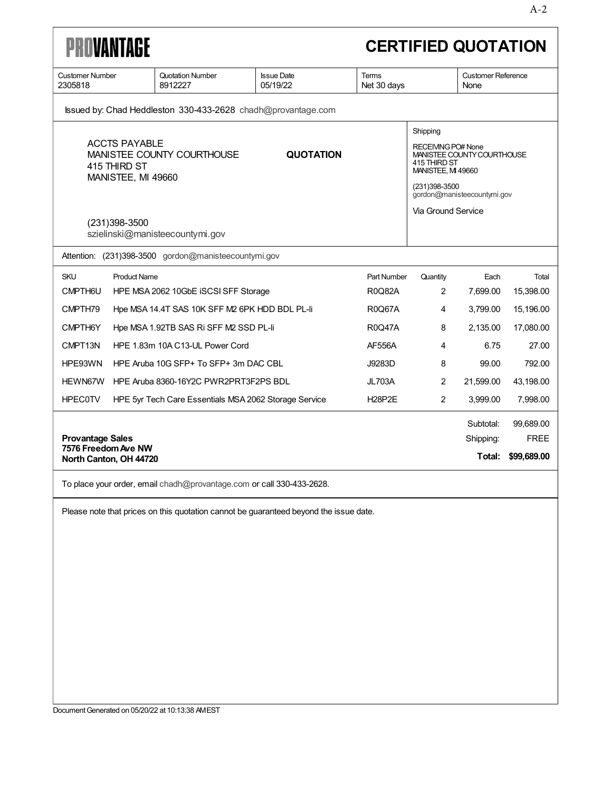| <b>PROVANTAGE</b><br><b>CERTIFIED QUOTATION</b>                                                                                                                                                                                                                                                                          |                                                                                         |                               |                             |                                   |           |             |
|--------------------------------------------------------------------------------------------------------------------------------------------------------------------------------------------------------------------------------------------------------------------------------------------------------------------------|-----------------------------------------------------------------------------------------|-------------------------------|-----------------------------|-----------------------------------|-----------|-------------|
| <b>Customer Number</b><br>2305818                                                                                                                                                                                                                                                                                        | Quotation Number<br>8912227                                                             | <b>Issue Date</b><br>05/19/22 | <b>Terms</b><br>Net 30 days | <b>Customer Reference</b><br>None |           |             |
| Issued by: Chad Heddleston 330-433-2628 chadh@provantage.com                                                                                                                                                                                                                                                             |                                                                                         |                               |                             |                                   |           |             |
| Shipping<br><b>ACCTS PAYABLE</b><br><b>RECEIVING PO# None</b><br>MANISTEE COUNTY COURTHOUSE<br><b>QUOTATION</b><br>MANISTEE COUNTY COURTHOUSE<br>415 THIRD ST<br>415 THIRD ST<br><b>MANISTEE, MI 49660</b><br>MANISTEE, MI 49660<br>(231)398-3500<br>gordon@manisteecountymi.gov<br>Via Ground Service<br>(231) 398-3500 |                                                                                         |                               |                             |                                   |           |             |
|                                                                                                                                                                                                                                                                                                                          | szielinski@manisteecountymi.gov<br>Attention: (231)398-3500 gordon@manisteecountymi.gov |                               |                             |                                   |           |             |
| <b>SKU</b><br><b>Product Name</b>                                                                                                                                                                                                                                                                                        |                                                                                         |                               | Part Number                 | Quantity                          | Each      | Total       |
| CMPTH6U                                                                                                                                                                                                                                                                                                                  | HPE MSA 2062 10GbE ISCSI SFF Storage                                                    |                               | R0Q82A                      | 2                                 | 7,699.00  | 15,398.00   |
| CMPTH79                                                                                                                                                                                                                                                                                                                  | Hpe MSA 14.4T SAS 10K SFF M2 6PK HDD BDL PL-II                                          |                               | R0Q67A                      | 4                                 | 3,799.00  | 15,196.00   |
| CMPTH6Y                                                                                                                                                                                                                                                                                                                  | Hpe MSA 1.92TB SAS Ri SFF M2 SSD PL-li                                                  |                               | <b>R0Q47A</b>               | 8                                 | 2,135.00  | 17,080.00   |
| CMPT13N                                                                                                                                                                                                                                                                                                                  | HPE 1.83m 10A C13-UL Power Cord                                                         |                               | AF556A                      | 4                                 | 6.75      | 27.00       |
| HPE93WN                                                                                                                                                                                                                                                                                                                  | HPE Aruba 10G SFP+ To SFP+ 3m DAC CBL                                                   |                               | J9283D                      | 8                                 | 99.00     | 792.00      |
| HEWN67W                                                                                                                                                                                                                                                                                                                  | HPE Aruba 8360-16Y2C PWR2PRT3F2PS BDL                                                   |                               | <b>JL703A</b>               | $\overline{2}$                    | 21,599.00 | 43,198.00   |
| <b>HPEC0TV</b>                                                                                                                                                                                                                                                                                                           | HPE 5yr Tech Care Essentials MSA 2062 Storage Service                                   |                               | <b>H28P2E</b>               | $\overline{2}$                    | 3,999.00  | 7,998.00    |
|                                                                                                                                                                                                                                                                                                                          |                                                                                         |                               |                             |                                   | Subtotal: | 99,689.00   |
| <b>Provantage Sales</b><br>7576 Freedom Ave NW                                                                                                                                                                                                                                                                           |                                                                                         |                               |                             |                                   | Shipping: | <b>FREE</b> |
| North Canton, OH 44720                                                                                                                                                                                                                                                                                                   |                                                                                         |                               |                             |                                   | Total:    | \$99,689.00 |

To place your order, email chadh@provantage.com or call 330-433-2628.

Please note that prices on this quotation cannot be guaranteed beyond the issue date.

Document Generated on 05/20/22 at 10:13:38 AMEST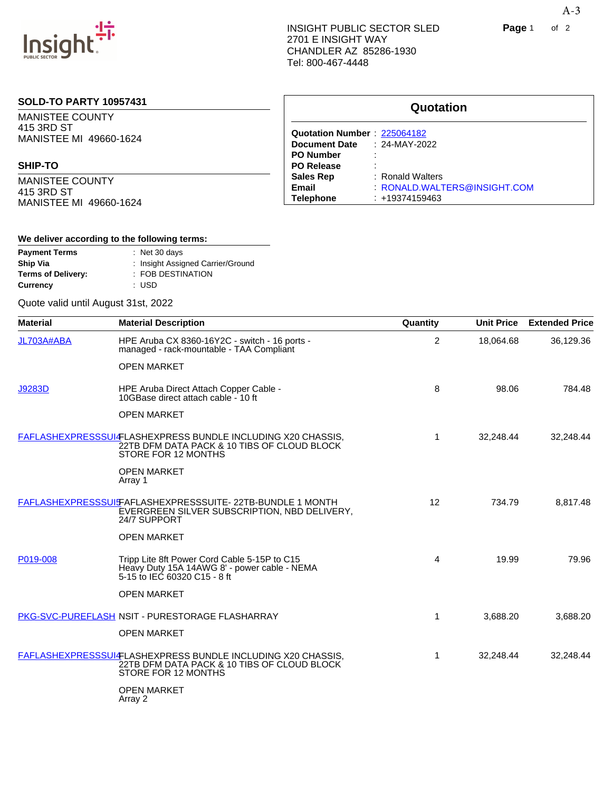

## **SOLD-TO PARTY 10957431**

MANISTEE COUNTY 415 3RD ST MANISTEE MI 49660-1624

#### **SHIP-TO**

MANISTEE COUNTY 415 3RD ST MANISTEE MI 49660-1624

## **Quotation Quotation Number** : [225064182](https://www.insight.com/insightweb/quoteDetails?quoNum=225064182) **Document Date** : 24-MAY-2022 **PO Number** : **PO Release**<br>Sales Rep **Sales Rep : Ronald Walters<br>
<b>Email** : RONALD.WALT **Email** : RONALD.WALTERS@INSIGHT.COM **Telephone** : +19374159463

#### **We deliver according to the following terms:**

| <b>Payment Terms</b>      | $:$ Net 30 days                   |
|---------------------------|-----------------------------------|
| Ship Via                  | : Insight Assigned Carrier/Ground |
| <b>Terms of Delivery:</b> | : FOB DESTINATION                 |
| Currency                  | : USD                             |

#### Quote valid until August 31st, 2022

| <b>Material</b> | <b>Material Description</b>                                                                                                        | Quantity       | <b>Unit Price</b> | <b>Extended Price</b> |
|-----------------|------------------------------------------------------------------------------------------------------------------------------------|----------------|-------------------|-----------------------|
| JL703A#ABA      | HPE Aruba CX 8360-16Y2C - switch - 16 ports -<br>managed - rack-mountable - TAA Compliant                                          | $\overline{2}$ | 18,064.68         | 36,129.36             |
|                 | <b>OPEN MARKET</b>                                                                                                                 |                |                   |                       |
| <b>J9283D</b>   | HPE Aruba Direct Attach Copper Cable -<br>10GBase direct attach cable - 10 ft                                                      | 8              | 98.06             | 784.48                |
|                 | <b>OPEN MARKET</b>                                                                                                                 |                |                   |                       |
|                 | FAFLASHEXPRESSSUI-FLASHEXPRESS BUNDLE INCLUDING X20 CHASSIS,<br>22TB DFM DATA PACK & 10 TIBS OF CLOUD BLOCK<br>STORE FOR 12 MONTHS | 1              | 32,248.44         | 32,248.44             |
|                 | <b>OPEN MARKET</b><br>Array 1                                                                                                      |                |                   |                       |
|                 | FAFLASHEXPRESSSUIFAFLASHEXPRESSSUITE- 22TB-BUNDLE 1 MONTH<br>EVERGREEN SILVER SUBSCRIPTION, NBD DELIVERY,<br>24/7 SUPPORT          | 12             | 734.79            | 8,817.48              |
|                 | <b>OPEN MARKET</b>                                                                                                                 |                |                   |                       |
| P019-008        | Tripp Lite 8ft Power Cord Cable 5-15P to C15<br>Heavy Duty 15A 14AWG 8' - power cable - NEMA<br>5-15 to IEC 60320 C15 - 8 ft       | 4              | 19.99             | 79.96                 |
|                 | <b>OPEN MARKET</b>                                                                                                                 |                |                   |                       |
|                 | <b>PKG-SVC-PUREFLASH NSIT - PURESTORAGE FLASHARRAY</b>                                                                             | 1              | 3,688.20          | 3,688.20              |
|                 | <b>OPEN MARKET</b>                                                                                                                 |                |                   |                       |
|                 | FAFLASHEXPRESSSUI-FLASHEXPRESS BUNDLE INCLUDING X20 CHASSIS,<br>22TB DFM DATA PACK & 10 TIBS OF CLOUD BLOCK<br>STORE FOR 12 MONTHS | 1              | 32,248.44         | 32,248.44             |
|                 | <b>OPEN MARKET</b>                                                                                                                 |                |                   |                       |

Array 2

A-3